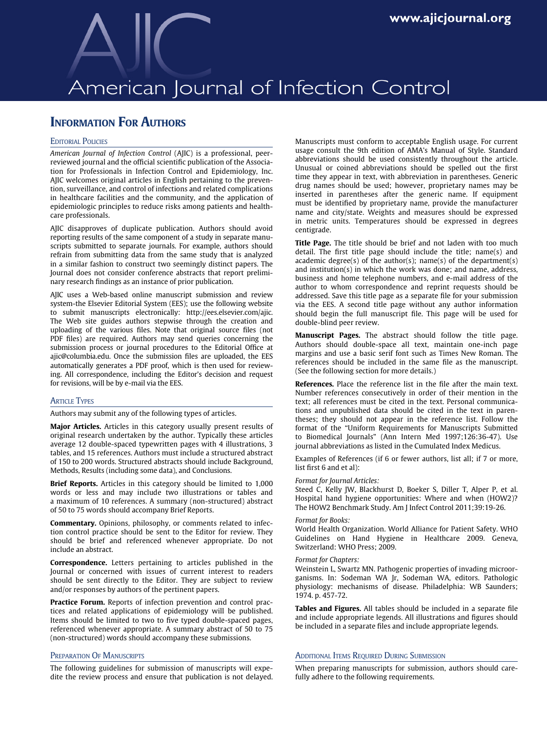# American Journal of Infection Control

# **INFORMATION FOR AUTHORS**

# **EDITORIAL POLICIES**

American Journal of Infection Control (AJIC) is a professional, peerreviewed journal and the official scientific publication of the Association for Professionals in Infection Control and Epidemiology, Inc. AJIC welcomes original articles in English pertaining to the prevention, surveillance, and control of infections and related complications in healthcare facilities and the community, and the application of epidemiologic principles to reduce risks among patients and healthcare professionals.

AJIC disapproves of duplicate publication. Authors should avoid reporting results of the same component of a study in separate manuscripts submitted to separate journals. For example, authors should refrain from submitting data from the same study that is analyzed in a similar fashion to construct two seemingly distinct papers. The Journal does not consider conference abstracts that report preliminary research findings as an instance of prior publication.

AJIC uses a Web-based online manuscript submission and review system-the Elsevier Editorial System (EES); use the following website to submit manuscripts electronically: http://ees.elsevier.com/ajic. The Web site guides authors stepwise through the creation and uploading of the various files. Note that original source files (not PDF files) are required. Authors may send queries concerning the submission process or journal procedures to the Editorial Office at ajic@columbia.edu. Once the submission files are uploaded, the EES automatically generates a PDF proof, which is then used for reviewing. All correspondence, including the Editor's decision and request for revisions, will be by e-mail via the EES.

### **ARTICLE TYPES**

Authors may submit any of the following types of articles.

Major Articles. Articles in this category usually present results of original research undertaken by the author. Typically these articles average 12 double-spaced typewritten pages with 4 illustrations, 3 tables, and 15 references. Authors must include a structured abstract of 150 to 200 words. Structured abstracts should include Background, Methods, Results (including some data), and Conclusions.

Brief Reports. Articles in this category should be limited to 1,000 words or less and may include two illustrations or tables and a maximum of 10 references. A summary (non-structured) abstract of 50 to 75 words should accompany Brief Reports.

Commentary. Opinions, philosophy, or comments related to infection control practice should be sent to the Editor for review. They should be brief and referenced whenever appropriate. Do not include an abstract.

Correspondence. Letters pertaining to articles published in the Journal or concerned with issues of current interest to readers should be sent directly to the Editor. They are subject to review and/or responses by authors of the pertinent papers.

Practice Forum. Reports of infection prevention and control practices and related applications of epidemiology will be published. Items should be limited to two to five typed double-spaced pages, referenced whenever appropriate. A summary abstract of 50 to 75 (non-structured) words should accompany these submissions.

# PREPARATION OF MANUSCRIPTS

The following guidelines for submission of manuscripts will expedite the review process and ensure that publication is not delayed. Manuscripts must conform to acceptable English usage. For current usage consult the 9th edition of AMA's Manual of Style. Standard abbreviations should be used consistently throughout the article. Unusual or coined abbreviations should be spelled out the first time they appear in text, with abbreviation in parentheses. Generic drug names should be used; however, proprietary names may be inserted in parentheses after the generic name. If equipment must be identified by proprietary name, provide the manufacturer name and city/state. Weights and measures should be expressed in metric units. Temperatures should be expressed in degrees centigrade.

Title Page. The title should be brief and not laden with too much detail. The first title page should include the title; name(s) and academic degree(s) of the author(s); name(s) of the department(s) and institution(s) in which the work was done; and name, address, business and home telephone numbers, and e-mail address of the author to whom correspondence and reprint requests should be addressed. Save this title page as a separate file for your submission via the EES. A second title page without any author information should begin the full manuscript file. This page will be used for double-blind peer review.

Manuscript Pages. The abstract should follow the title page. Authors should double-space all text, maintain one-inch page margins and use a basic serif font such as Times New Roman. The references should be included in the same file as the manuscript. (See the following section for more details.)

References. Place the reference list in the file after the main text. Number references consecutively in order of their mention in the text; all references must be cited in the text. Personal communications and unpublished data should be cited in the text in parentheses; they should not appear in the reference list. Follow the format of the "Uniform Requirements for Manuscripts Submitted to Biomedical Journals" (Ann Intern Med 1997;126:36-47). Use journal abbreviations as listed in the Cumulated Index Medicus.

Examples of References (if 6 or fewer authors, list all; if 7 or more, list first 6 and et al):

#### Format for Journal Articles:

Steed C, Kelly JW, Blackhurst D, Boeker S, Diller T, Alper P, et al. Hospital hand hygiene opportunities: Where and when (HOW2)? The HOW2 Benchmark Study. Am J Infect Control 2011;39:19-26.

#### Format for Books:

World Health Organization. World Alliance for Patient Safety. WHO Guidelines on Hand Hygiene in Healthcare 2009. Geneva, Switzerland: WHO Press; 2009.

#### Format for Chapters:

Weinstein L, Swartz MN. Pathogenic properties of invading microorganisms. In: Sodeman WA Jr, Sodeman WA, editors. Pathologic physiology: mechanisms of disease. Philadelphia: WB Saunders; 1974. p. 457-72.

Tables and Figures. All tables should be included in a separate file and include appropriate legends. All illustrations and figures should be included in a separate files and include appropriate legends.

# **ADDITIONAL ITEMS REQUIRED DURING SUBMISSION**

When preparing manuscripts for submission, authors should carefully adhere to the following requirements.